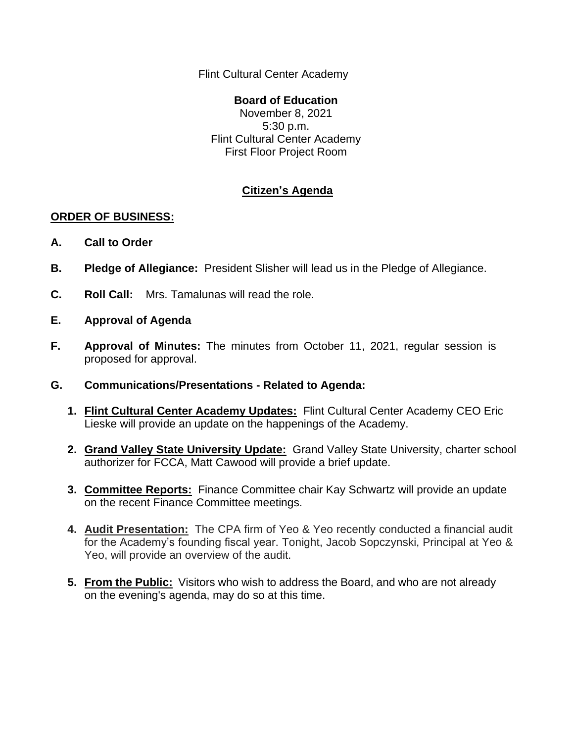Flint Cultural Center Academy

**Board of Education** November 8, 2021 5:30 p.m. Flint Cultural Center Academy First Floor Project Room

## **Citizen's Agenda**

## **ORDER OF BUSINESS:**

- **A. Call to Order**
- **B. Pledge of Allegiance:** President Slisher will lead us in the Pledge of Allegiance.
- **C. Roll Call:** Mrs. Tamalunas will read the role.
- **E. Approval of Agenda**
- **F. Approval of Minutes:** The minutes from October 11, 2021, regular session is proposed for approval.
- **G. Communications/Presentations - Related to Agenda:**
	- **1. Flint Cultural Center Academy Updates:** Flint Cultural Center Academy CEO Eric Lieske will provide an update on the happenings of the Academy.
	- **2. Grand Valley State University Update:** Grand Valley State University, charter school authorizer for FCCA, Matt Cawood will provide a brief update.
	- **3. Committee Reports:** Finance Committee chair Kay Schwartz will provide an update on the recent Finance Committee meetings.
	- **4. Audit Presentation:** The CPA firm of Yeo & Yeo recently conducted a financial audit for the Academy's founding fiscal year. Tonight, Jacob Sopczynski, Principal at Yeo & Yeo, will provide an overview of the audit.
	- **5. From the Public:** Visitors who wish to address the Board, and who are not already on the evening's agenda, may do so at this time.